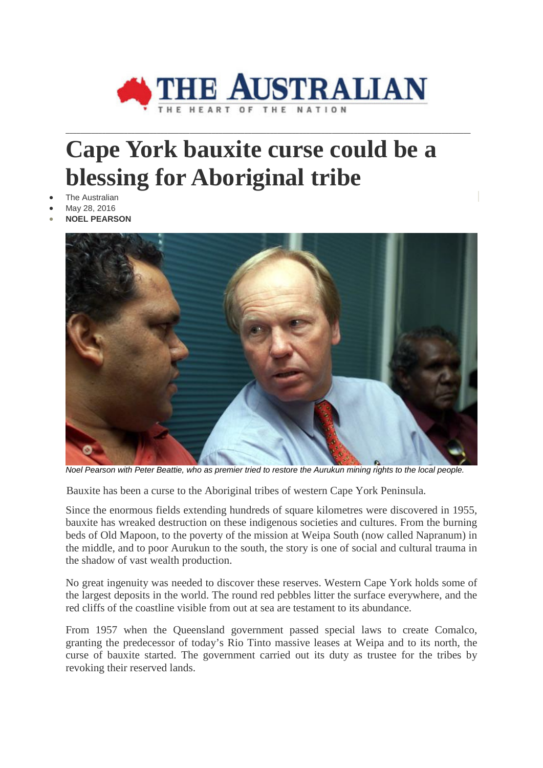

**\_\_\_\_\_\_\_\_\_\_\_\_\_\_\_\_\_\_\_\_\_\_\_\_\_\_\_\_\_\_\_\_\_\_\_\_\_\_\_\_\_\_\_\_\_\_\_\_\_\_\_\_\_\_\_\_\_\_\_\_\_\_\_\_\_\_\_\_\_\_\_\_\_\_\_\_\_\_\_\_\_\_\_\_\_\_\_\_\_\_\_\_\_\_\_\_\_\_\_\_\_\_\_\_\_\_\_\_\_\_\_**

## **Cape York bauxite curse could be a blessing for Aboriginal tribe**

- **The Australian**
- May 28, 2016
- **NOEL PEARSON**



*Noel Pearson with Peter Beattie, who as premier tried to restore the Aurukun mining rights to the local people.*

Bauxite has been a curse to the Aboriginal tribes of western Cape York Peninsula.

Since the enormous fields extending hundreds of square kilometres were discovered in 1955, bauxite has wreaked destruction on these indigenous societies and cultures. From the burning beds of Old Mapoon, to the poverty of the mission at Weipa South (now called Napranum) in the middle, and to poor Aurukun to the south, the story is one of social and cultural trauma in the shadow of vast wealth production.

No great ingenuity was needed to discover these reserves. Western Cape York holds some of the largest deposits in the world. The round red pebbles litter the surface everywhere, and the red cliffs of the coastline visible from out at sea are testament to its abundance.

From 1957 when the Queensland government passed special laws to create Comalco, granting the predecessor of today's Rio Tinto massive leases at Weipa and to its north, the curse of bauxite started. The government carried out its duty as trustee for the tribes by revoking their reserved lands.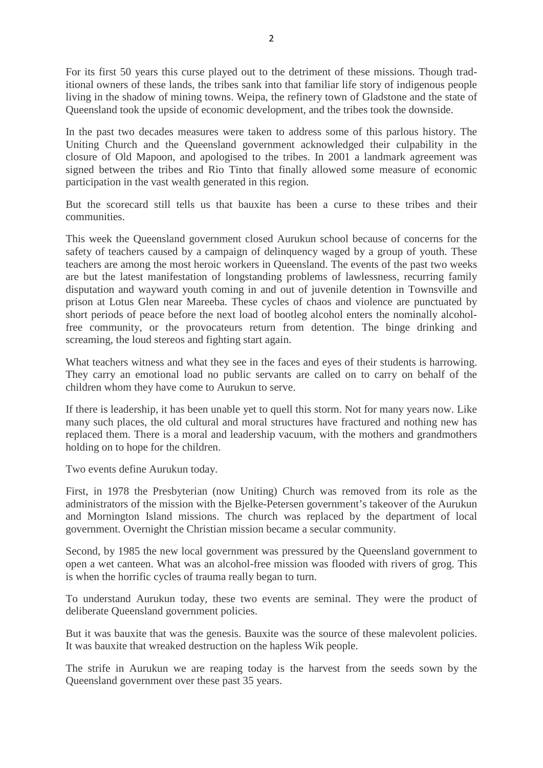For its first 50 years this curse played out to the detriment of these missions. Though traditional owners of these lands, the tribes sank into that familiar life story of indigenous people living in the shadow of mining towns. Weipa, the refinery town of Gladstone and the state of Queensland took the upside of economic development, and the tribes took the downside.

In the past two decades measures were taken to address some of this parlous history. The Uniting Church and the Queensland government acknowledged their culpability in the closure of Old Mapoon, and apologised to the tribes. In 2001 a landmark agreement was signed between the tribes and Rio Tinto that finally allowed some measure of economic participation in the vast wealth generated in this region.

But the scorecard still tells us that bauxite has been a curse to these tribes and their communities.

This week the Queensland government closed Aurukun school because of concerns for the safety of teachers caused by a campaign of delinquency waged by a group of youth. These teachers are among the most heroic workers in Queensland. The events of the past two weeks are but the latest manifestation of longstanding problems of lawlessness, recurring family disputation and wayward youth coming in and out of juvenile detention in Townsville and prison at Lotus Glen near Mareeba. These cycles of chaos and violence are punctuated by short periods of peace before the next load of bootleg alcohol enters the nominally alcoholfree community, or the provocateurs return from detention. The binge drinking and screaming, the loud stereos and fighting start again.

What teachers witness and what they see in the faces and eyes of their students is harrowing. They carry an emotional load no public servants are called on to carry on behalf of the children whom they have come to Aurukun to serve.

If there is leadership, it has been unable yet to quell this storm. Not for many years now. Like many such places, the old cultural and moral structures have fractured and nothing new has replaced them. There is a moral and leadership vacuum, with the mothers and grandmothers holding on to hope for the children.

Two events define Aurukun today.

First, in 1978 the Presbyterian (now Uniting) Church was removed from its role as the administrators of the mission with the Bjelke-Petersen government's takeover of the Aurukun and Mornington Island missions. The church was replaced by the department of local government. Overnight the Christian mission became a secular community.

Second, by 1985 the new local government was pressured by the Queensland government to open a wet canteen. What was an alcohol-free mission was flooded with rivers of grog. This is when the horrific cycles of trauma really began to turn.

To understand Aurukun today, these two events are seminal. They were the product of deliberate Queensland government policies.

But it was bauxite that was the genesis. Bauxite was the source of these malevolent policies. It was bauxite that wreaked destruction on the hapless Wik people.

The strife in Aurukun we are reaping today is the harvest from the seeds sown by the Queensland government over these past 35 years.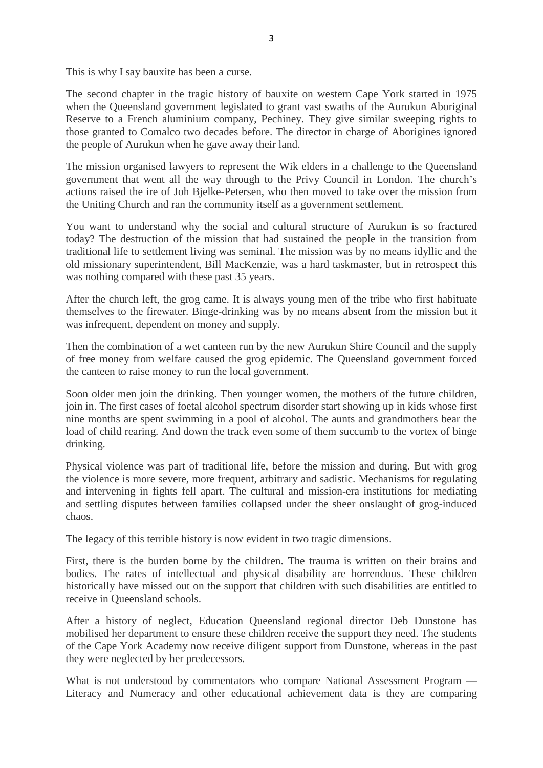This is why I say bauxite has been a curse.

The second chapter in the tragic history of bauxite on western Cape York started in 1975 when the Queensland government legislated to grant vast swaths of the Aurukun Aboriginal Reserve to a French aluminium company, Pechiney. They give similar sweeping rights to those granted to Comalco two decades before. The director in charge of Aborigines ignored the people of Aurukun when he gave away their land.

The mission organised lawyers to represent the Wik elders in a challenge to the Queensland government that went all the way through to the Privy Council in London. The church's actions raised the ire of Joh Bjelke-Petersen, who then moved to take over the mission from the Uniting Church and ran the community itself as a government settlement.

You want to understand why the social and cultural structure of Aurukun is so fractured today? The destruction of the mission that had sustained the people in the transition from traditional life to settlement living was seminal. The mission was by no means idyllic and the old missionary superintendent, Bill MacKenzie, was a hard taskmaster, but in retrospect this was nothing compared with these past 35 years.

After the church left, the grog came. It is always young men of the tribe who first habituate themselves to the firewater. Binge-drinking was by no means absent from the mission but it was infrequent, dependent on money and supply.

Then the combination of a wet canteen run by the new Aurukun Shire Council and the supply of free money from welfare caused the grog epidemic. The Queensland government forced the canteen to raise money to run the local government.

Soon older men join the drinking. Then younger women, the mothers of the future children, join in. The first cases of foetal alcohol spectrum disorder start showing up in kids whose first nine months are spent swimming in a pool of alcohol. The aunts and grandmothers bear the load of child rearing. And down the track even some of them succumb to the vortex of binge drinking.

Physical violence was part of traditional life, before the mission and during. But with grog the violence is more severe, more frequent, arbitrary and sadistic. Mechanisms for regulating and intervening in fights fell apart. The cultural and mission-era institutions for mediating and settling disputes between families collapsed under the sheer onslaught of grog-induced chaos.

The legacy of this terrible history is now evident in two tragic dimensions.

First, there is the burden borne by the children. The trauma is written on their brains and bodies. The rates of intellectual and physical disability are horrendous. These children historically have missed out on the support that children with such disabilities are entitled to receive in Queensland schools.

After a history of neglect, Education Queensland regional director Deb Dunstone has mobilised her department to ensure these children receive the support they need. The students of the Cape York Academy now receive diligent support from Dunstone, whereas in the past they were neglected by her predecessors.

What is not understood by commentators who compare National Assessment Program — Literacy and Numeracy and other educational achievement data is they are comparing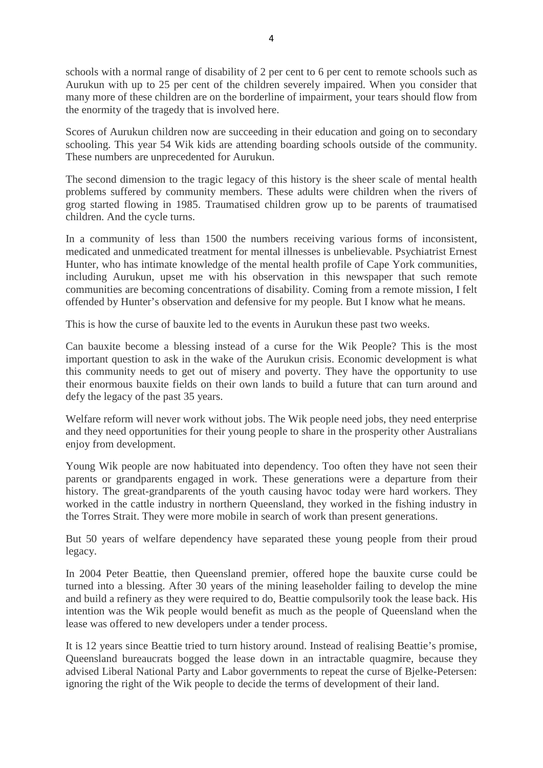schools with a normal range of disability of 2 per cent to 6 per cent to remote schools such as Aurukun with up to 25 per cent of the children severely impaired. When you consider that many more of these children are on the borderline of impairment, your tears should flow from the enormity of the tragedy that is involved here.

Scores of Aurukun children now are succeeding in their education and going on to secondary schooling. This year 54 Wik kids are attending boarding schools outside of the community. These numbers are unprecedented for Aurukun.

The second dimension to the tragic legacy of this history is the sheer scale of mental health problems suffered by community members. These adults were children when the rivers of grog started flowing in 1985. Traumatised children grow up to be parents of traumatised children. And the cycle turns.

In a community of less than 1500 the numbers receiving various forms of inconsistent, medicated and unmedicated treatment for mental illnesses is unbelievable. Psychiatrist Ernest Hunter, who has intimate knowledge of the mental health profile of Cape York communities, including Aurukun, upset me with his observation in this newspaper that such remote communities are becoming concentrations of disability. Coming from a remote mission, I felt offended by Hunter's observation and defensive for my people. But I know what he means.

This is how the curse of bauxite led to the events in Aurukun these past two weeks.

Can bauxite become a blessing instead of a curse for the Wik People? This is the most important question to ask in the wake of the Aurukun crisis. Economic development is what this community needs to get out of misery and poverty. They have the opportunity to use their enormous bauxite fields on their own lands to build a future that can turn around and defy the legacy of the past 35 years.

Welfare reform will never work without jobs. The Wik people need jobs, they need enterprise and they need opportunities for their young people to share in the prosperity other Australians enjoy from development.

Young Wik people are now habituated into dependency. Too often they have not seen their parents or grandparents engaged in work. These generations were a departure from their history. The great-grandparents of the youth causing havoc today were hard workers. They worked in the cattle industry in northern Queensland, they worked in the fishing industry in the Torres Strait. They were more mobile in search of work than present generations.

But 50 years of welfare dependency have separated these young people from their proud legacy.

In 2004 Peter Beattie, then Queensland premier, offered hope the bauxite curse could be turned into a blessing. After 30 years of the mining leaseholder failing to develop the mine and build a refinery as they were required to do, Beattie compulsorily took the lease back. His intention was the Wik people would benefit as much as the people of Queensland when the lease was offered to new developers under a tender process.

It is 12 years since Beattie tried to turn history around. Instead of realising Beattie's promise, Queensland bureaucrats bogged the lease down in an intractable quagmire, because they advised Liberal National Party and Labor governments to repeat the curse of Bjelke-Petersen: ignoring the right of the Wik people to decide the terms of development of their land.